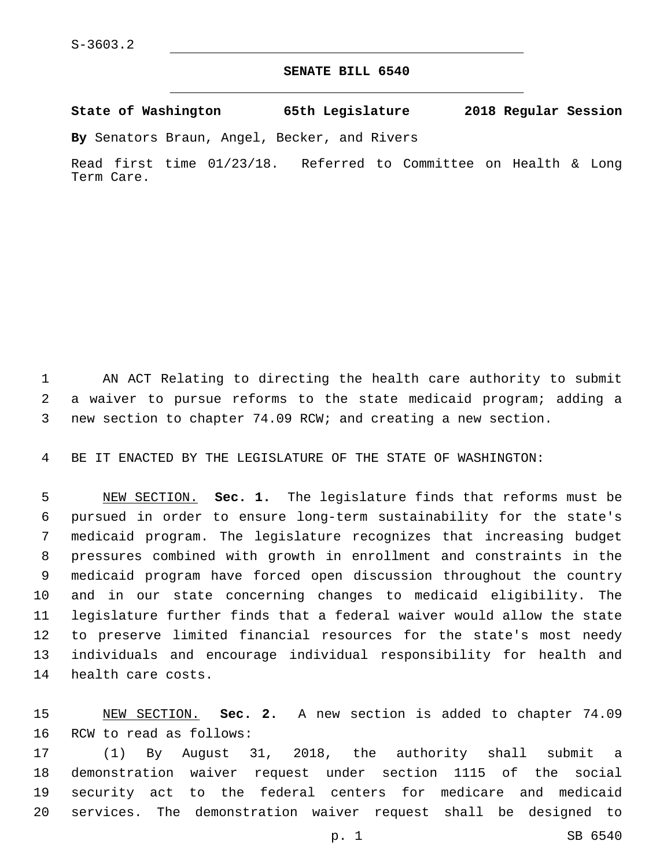## **SENATE BILL 6540**

**State of Washington 65th Legislature 2018 Regular Session**

**By** Senators Braun, Angel, Becker, and Rivers

Read first time 01/23/18. Referred to Committee on Health & Long Term Care.

 AN ACT Relating to directing the health care authority to submit a waiver to pursue reforms to the state medicaid program; adding a new section to chapter 74.09 RCW; and creating a new section.

BE IT ENACTED BY THE LEGISLATURE OF THE STATE OF WASHINGTON:

 NEW SECTION. **Sec. 1.** The legislature finds that reforms must be pursued in order to ensure long-term sustainability for the state's medicaid program. The legislature recognizes that increasing budget pressures combined with growth in enrollment and constraints in the medicaid program have forced open discussion throughout the country and in our state concerning changes to medicaid eligibility. The legislature further finds that a federal waiver would allow the state to preserve limited financial resources for the state's most needy individuals and encourage individual responsibility for health and health care costs.

 NEW SECTION. **Sec. 2.** A new section is added to chapter 74.09 16 RCW to read as follows:

 (1) By August 31, 2018, the authority shall submit a demonstration waiver request under section 1115 of the social security act to the federal centers for medicare and medicaid services. The demonstration waiver request shall be designed to